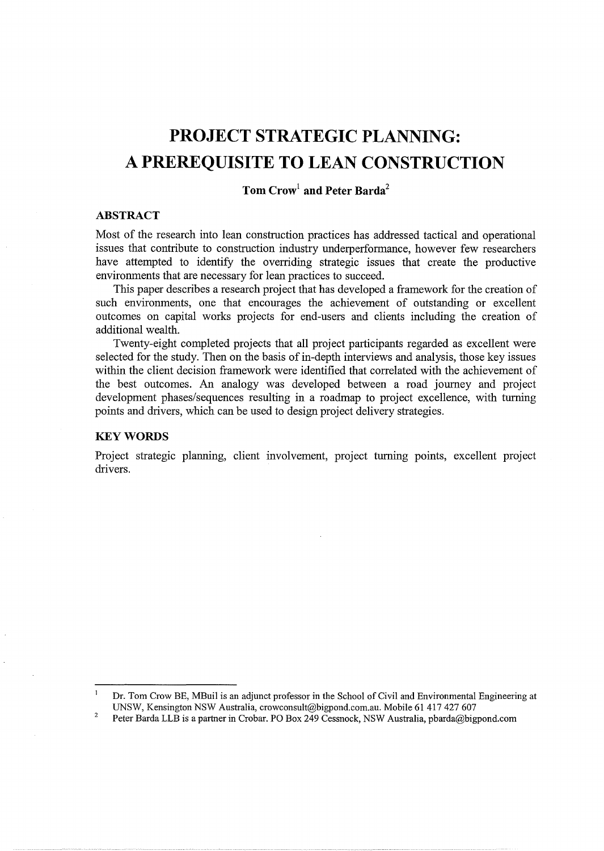# **PROJECT STRATEGIC PLANNING: A PREREQUISITE TO LEAN CONSTRUCTION**

## **Tom Crow<sup>1</sup>and Peter Barda<sup>2</sup>**

## **ABSTRACT**

Most of the research into lean construction practices has addressed tactical and operational issues that contribute to construction industry underperformance, however few researchers have attempted to identify the overriding strategic issues that create the productive environments that are necessary for lean practices to succeed.

This paper describes a research project that has developed a framework for the creation of such environments, one that encourages the achievement of outstanding or excellent outcomes on capital works projects for end-users and clients including the creation of additional wealth.

Twenty-eight completed projects that all project participants regarded as excellent were selected for the study. Then on the basis of in-depth interviews and analysis, those key issues within the client decision framework were identified that correlated with the achievement of the best outcomes. An analogy was developed between a road journey and project development phases/sequences resulting in a roadmap to project excellence, with turning points and drivers, which can be used to design project delivery strategies.

#### **KEYWORDS**

Project strategic planning, client involvement, project turning points, excellent project drivers.

 $\mathbf{I}$ Dr. Tom Crow BE, MBuil is an adjunct professor in the School of Civil and Environmental Engineering at UNSW, Kensington NSW Australia, crowconsult@bigpond.com.au. Mobile 61 417 427 607

<sup>2</sup>  Peter Barda LLB is a partner in Crobar. PO Box 249 Cessnock, NSW Australia, pbarda@bigpond.com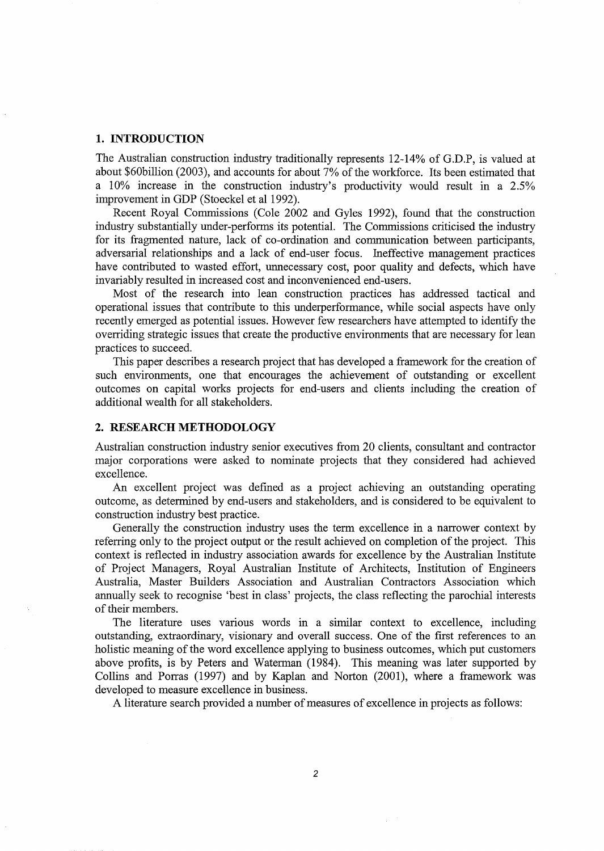#### **1. INTRODUCTION**

The Australian construction industry traditionally represents 12-14% of G.D.P, is valued at about \$60billion (2003), and accounts for about 7% of the workforce. Its been estimated that a 10% increase in the construction industry's productivity would result in a 2.5% improvement in GDP (Stoeckel et al 1992).

Recent Royal Commissions (Cole 2002 and Gyles 1992), found that the construction industry substantially under-performs its potential. The Commissions criticised the industry for its fragmented nature, lack of co-ordination and communication between participants, adversarial relationships and a lack of end-user focus. Ineffective management practices have contributed to wasted effort, unnecessary cost, poor quality and defects, which have invariably resulted in increased cost and inconvenienced end-users.

Most of the research into lean construction practices has addressed tactical and operational issues that contribute to this underperformance, while social aspects have only recently emerged as potential issues. However few researchers have attempted to identify the overriding strategic issues that create the productive environments that are necessary for lean practices to succeed.

This paper describes a research project that has developed a framework for the creation of such environments, one that encourages the achievement of outstanding or excellent outcomes on capital works projects for end-users and clients including the creation of additional wealth for all stakeholders.

#### **2. RESEARCH METHODOLOGY**

Australian construction industry senior executives from 20 clients, consultant and contractor major corporations were asked to nominate projects that they considered had achieved excellence.

An excellent project was defined as a project achieving an outstanding operating outcome, as determined by end-users and stakeholders, and is considered to be equivalent to construction industry best practice.

Generally the construction industry uses the term excellence in a narrower context by referring only to the project output or the result achieved on completion of the project. This context is reflected in industry association awards for excellence by the Australian Institute of Project Managers, Royal Australian Institute of Architects, Institution of Engineers Australia, Master Builders Association and Australian Contractors Association which annually seek to recognise 'best in class' projects, the class reflecting the parochial interests of their members.

The literature uses various words in a similar context to excellence, including outstanding, extraordinary, visionary and overall success. One of the first references to an holistic meaning of the word excellence applying to business outcomes, which put customers above profits, is by Peters and Waterman (1984). This meaning was later supported by Collins and Porras (1997) and by Kaplan and Norton (2001), where a framework was developed to measure excellence in business.

A literature search provided a number of measures of excellence in projects as follows: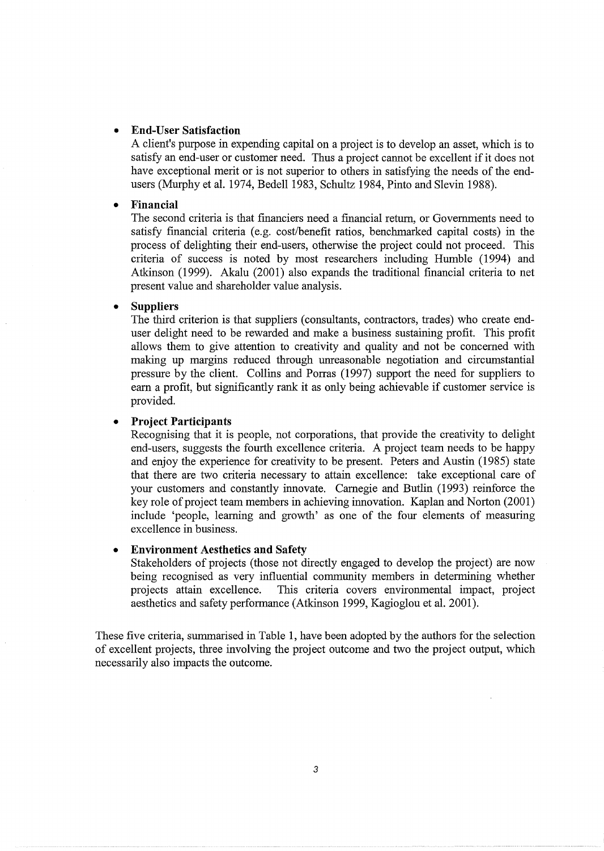#### • **End-User Satisfaction**

A client's purpose in expending capital on a project is to develop an asset, which is to satisfy an end-user or customer need. Thus a project cannot be excellent if it does not have exceptional merit or is not superior to others in satisfying the needs of the endusers (Murphy et al. 1974, Bedell 1983, Schultz 1984, Pinto and Slevin 1988).

#### • **Financial**

The second criteria is that financiers need a financial return, or Governments need to satisfy financial criteria (e.g. cost/benefit ratios, benchmarked capital costs) in the process of delighting their end-users, otherwise the project could not proceed. This criteria of success is noted by most researchers including Humble (1994) and Atkinson (1999). Akalu (2001) also expands the traditional financial criteria to net present value and shareholder value analysis.

#### • **Suppliers**

The third criterion is that suppliers (consultants, contractors, trades) who create enduser delight need to be rewarded and make a business sustaining profit. This profit allows them to give attention to creativity and quality and not be concerned with making up margins reduced through unreasonable negotiation and circumstantial pressure by the client. Collins and Porras (1997) support the need for suppliers to earn a profit, but significantly rank it as only being achievable if customer service is provided.

#### • **Project Participants**

Recognising that it is people, not corporations, that provide the creativity to delight end-users, suggests the fourth excellence criteria. A project team needs to be happy and enjoy the experience for creativity to be present. Peters and Austin (1985) state that there are two criteria necessary to attain excellence: take exceptional care of your customers and constantly innovate. Carnegie and Butlin (1993) reinforce the key role of project team members in achieving innovation. Kaplan and Norton (2001) include 'people, learning and growth' as one of the four elements of measuring excellence in business.

#### • **Environment Aesthetics and Safety**

Stakeholders of projects (those not directly engaged to develop the project) are now being recognised as very influential community members in determining whether projects attain excellence. This criteria covers environmental impact, project aesthetics and safety performance (Atkinson 1999, Kagioglou et al. 2001).

These five criteria, summarised in Table 1, have been adopted by the authors for the selection of excellent projects, three involving the project outcome and two the project output, which necessarily also impacts the outcome.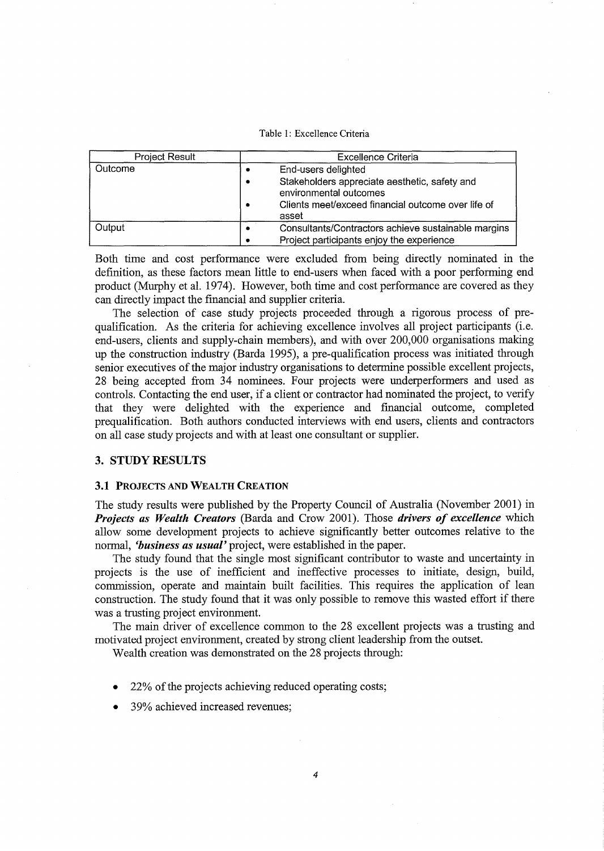Table 1: Excellence Criteria

| Project Result | Excellence Criteria                                                                                                                                                |  |  |
|----------------|--------------------------------------------------------------------------------------------------------------------------------------------------------------------|--|--|
| Outcome        | End-users delighted<br>Stakeholders appreciate aesthetic, safety and<br>٠<br>environmental outcomes<br>Clients meet/exceed financial outcome over life of<br>asset |  |  |
| Output         | Consultants/Contractors achieve sustainable margins<br>Project participants enjoy the experience                                                                   |  |  |

Both time and cost performance were excluded from being directly nominated in the definition, as these factors mean little to end-users when faced with a poor performing end product (Murphy et al. 1974). However, both time and cost performance are covered as they can directly impact the financial and supplier criteria.

The selection of case study projects proceeded through a rigorous process of prequalification. As the criteria for achieving excellence involves all project participants (i.e. end-users, clients and supply-chain members), and with over 200,000 organisations making up the construction industry (Barda 1995), a pre-qualification process was initiated through senior executives of the major industry organisations to determine possible excellent projects, 28 being accepted from 34 nominees. Four projects were underperformers and used as controls. Contacting the end user, if a client or contractor had nominated the project, to verify that they were delighted with the experience and financial outcome, completed prequalification. Both authors conducted interviews with end users, clients and contractors on all case study projects and with at least one consultant or supplier.

#### 3. STUDY RESULTS

#### 3.1 PROJECTS AND WEALTH CREATION

The study results were published by the Property Council of Australia (November 2001) in *Projects as Wealth Creators* (Barda and Crow 2001). Those *drivers of excellence* which allow some development projects to achieve significantly better outcomes relative to the normal, *'business as usual'* project, were established in the paper.

The study found that the single most significant contributor to waste and uncertainty in projects is the use of inefficient and ineffective processes to initiate, design, build, commission, operate and maintain built facilities. This requires the application of lean construction. The study found that it was only possible to remove this wasted effort if there was a trusting project environment.

The main driver of excellence common to the 28 excellent projects was a trusting and motivated project environment, created by strong client leadership from the outset.

Wealth creation was demonstrated on the 28 projects through:

- 22% of the projects achieving reduced operating costs;
- 39% achieved increased revenues;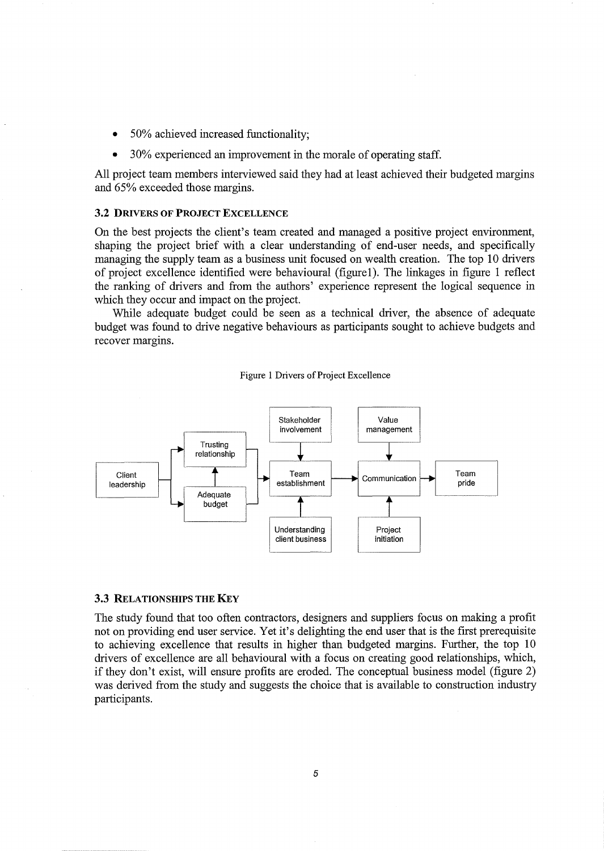- 50% achieved increased functionality;
- 30% experienced an improvement in the morale of operating staff.

All project team members interviewed said they had at least achieved their budgeted margins and 65% exceeded those margins.

#### 3.2 DRIVERS OF PROJECT EXCELLENCE

On the best projects the client's team created and managed a positive project environment, shaping the project brief with a clear understanding of end-user needs, and specifically managing the supply team as a business unit focused on wealth creation. The top 10 drivers of project excellence identified were behavioural (figure1). The linkages in figure 1 reflect the ranking of drivers and from the authors' experience represent the logical sequence in which they occur and impact on the project.

While adequate budget could be seen as a technical driver, the absence of adequate budget was found to drive negative behaviours as participants sought to achieve budgets and recover margins.

Figure 1 Drivers of Project Excellence



#### 3.3 RELATIONSHIPS THE KEY

The study found that too often contractors, designers and suppliers focus on making a profit not on providing end user service. Yet it's delighting the end user that is the first prerequisite to achieving excellence that results in higher than budgeted margins. Further, the top 10 drivers of excellence are all behavioural with a focus on creating good relationships, which, if they don't exist, will ensure profits are eroded. The conceptual business model (figure 2) was derived from the study and suggests the choice that is available to construction industry participants.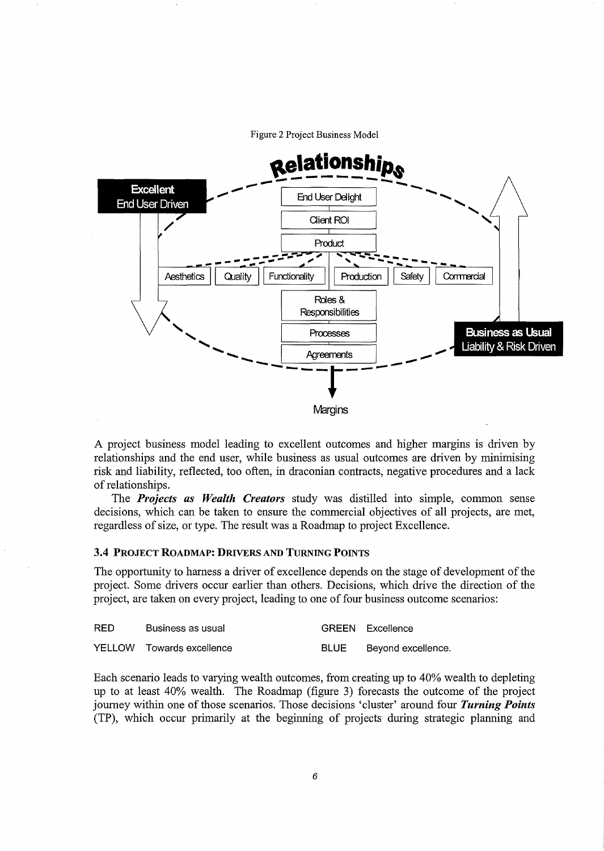Figure 2 Project Business Model



A project business model leading to excellent outcomes and higher margins is driven by relationships and the end user, while business as usual outcomes are driven by minimising risk and liability, reflected, too often, in draconian contracts, negative procedures and a lack of relationships.

The *Projects as Wealth Creators* study was distilled into simple, common sense decisions, which can be taken to ensure the commercial objectives of all projects, are met, regardless of size, or type. The result was a Roadmap to project Excellence.

#### 3.4 PROJECT ROADMAP: DRIVERS AND TURNING POINTS

The opportunity to harness a driver of excellence depends on the stage of development of the project. Some drivers occur earlier than others. Decisions, which drive the direction of the project, are taken on every project, leading to one of four business outcome scenarios:

| <b>RED</b> | Business as usual         |      | GREEN Excellence   |
|------------|---------------------------|------|--------------------|
|            | YELLOW Towards excellence | BLUE | Beyond excellence. |

Each scenario leads to varying wealth outcomes, from creating up to 40% wealth to depleting up to at least 40% wealth. The Roadmap (figure 3) forecasts the outcome of the project journey within one of those scenarios. Those decisions 'cluster' around four Turning Points (TP), which occur primarily at the beginning of projects during strategic planning and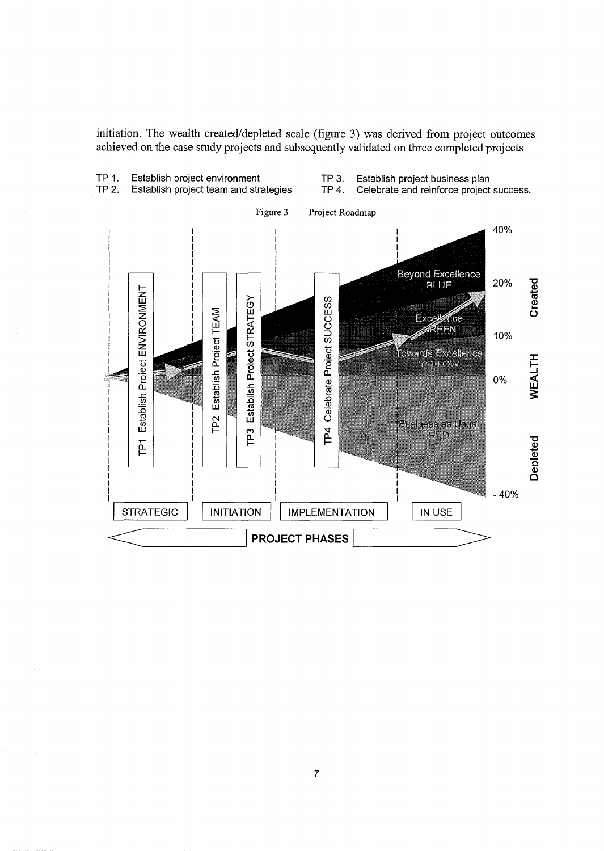initiation. The wealth created/depleted scale (figure 3) was derived from project outcomes achieved on the case study projects and subsequently validated on three completed projects

TP 1. Establish project environment TP 3. Establish project business plan TP 2. Establish project team and strategies TP 4. Celebrate and reinforce project success. Figure 3 Project Roadmap 40% **Beyond Excellence** 20% Created **RI LIF** Establish Project ENVIRONMENT Establish Project STRATEGY TP4 Celebrate Project SUCCESS Establish Project TEAM **Excellence** REEN 10% .<br>Fowards Excellence **WEALTH** YELLOW 0% **P2 Business as Usual**  $\overline{P}$ RED Depleted  $\overline{P}$  $-40%$ **STRATEGIC INITIATION IMPLEMENTATION** IN USE **PROJECT PHASES**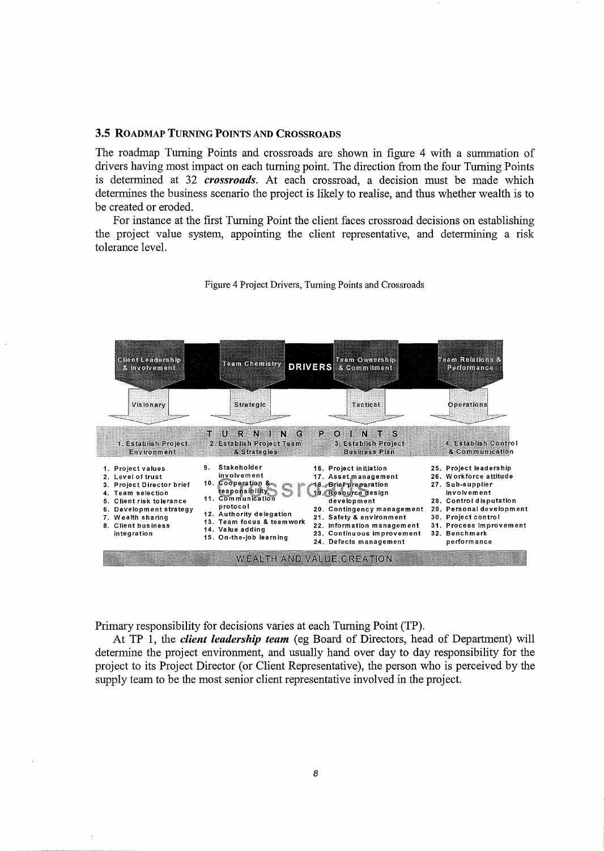#### 3.5 ROADMAP TURNING POINTS AND CROSSROADS

The roadmap Turning Points and crossroads are shown in figure 4 with a summation of drivers having most impact on each turning point. The direction from the four Turning Points is determined at 32 *crossroads.* At each crossroad, a decision must be made which determines the business scenario the project is likely to realise, and thus whether wealth is to be created or eroded.

For instance at the first Turning Point the client faces crossroad decisions on establishing the project value system, appointing the client representative, and determining a risk tolerance level.



Figure 4 Project Drivers, Turning Points and Crossroads

Primary responsibility for decisions varies at each Turning Point (TP).

At TP 1, the *client leadership team* (eg Board of Directors, head of Department) will determine the project environment, and usually hand over day to day responsibility for the project to its Project Director (or Client Representative), the person who is perceived by the supply team to be the most senior client representative involved in the project.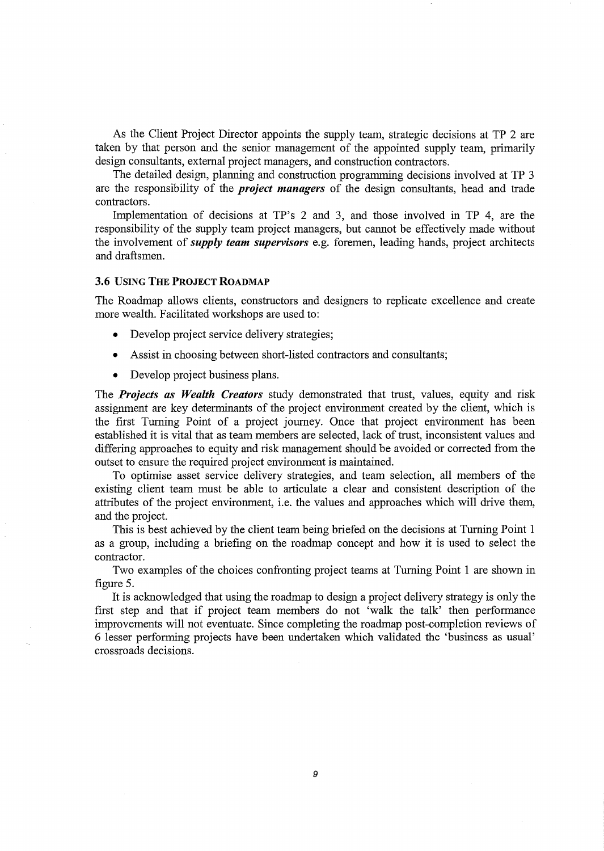As the Client Project Director appoints the supply team, strategic decisions at TP 2 are taken by that person and the senior management of the appointed supply team, primarily design consultants, external project managers, and construction contractors.

The detailed design, planning and construction programming decisions involved at TP 3 are the responsibility of the *project managers* of the design consultants, head and trade contractors.

Implementation of decisions at TP's 2 and 3, and those involved in TP 4, are the responsibility of the supply team project managers, but cannot be effectively made without the involvement of *supply team supervisors* e.g. foremen, leading hands, project architects and draftsmen.

#### **3.6** USING **THE PROJECT ROADMAP**

The Roadmap allows clients, constructors and designers to replicate excellence and create more wealth. Facilitated workshops are used to:

- Develop project service delivery strategies;
- Assist in choosing between short-listed contractors and consultants;
- Develop project business plans.

The *Projects as Wealth Creators* study demonstrated that trust, values, equity and risk assignment are key determinants of the project environment created by the client, which is the first Turning Point of a project journey. Once that project environment has been established it is vital that as team members are selected, lack of trust, inconsistent values and differing approaches to equity and risk management should be avoided or corrected from the outset to ensure the required project environment is maintained.

To optimise asset service delivery strategies, and team selection, all members of the existing client team must be able to articulate a clear and consistent description of the attributes of the project environment, i.e. the values and approaches which will drive them, and the project.

This is best achieved by the client team being briefed on the decisions at Turning Point 1 as a group, including a briefing on the roadmap concept and how it is used to select the contractor.

Two examples of the choices confronting project teams at Turning Point 1 are shown in figure 5.

It is acknowledged that using the roadmap to design a project delivery strategy is only the first step and that if project team members do not 'walk the talk' then performance improvements will not eventuate. Since completing the roadmap post-completion reviews of 6 lesser performing projects have been undertaken which validated the 'business as usual' crossroads decisions.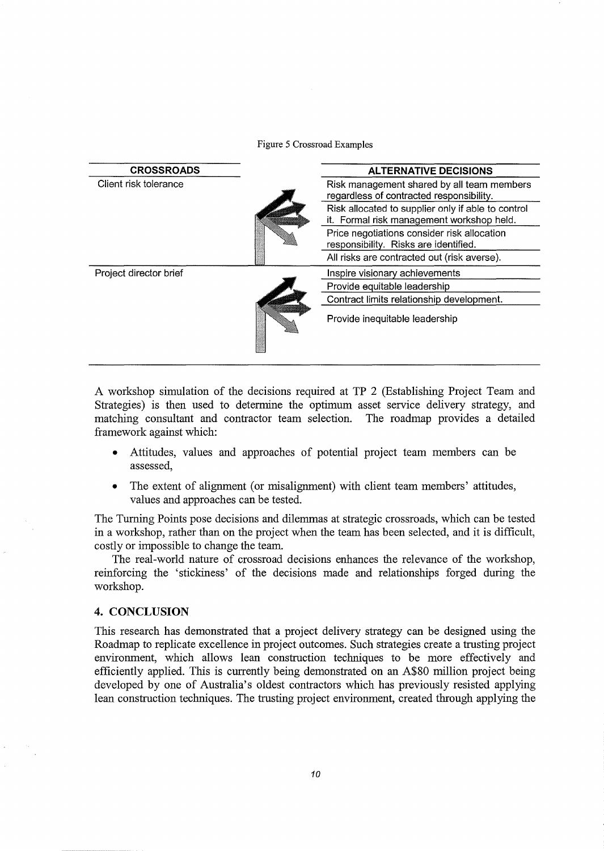Figure 5 Crossroad Examples



A workshop simulation of the decisions required at TP 2 (Establishing Project Team and Strategies) is then used to determine the optimum asset service delivery strategy, and matching consultant and contractor team selection. The roadmap provides a detailed framework against which:

- Attitudes, values and approaches of potential project team members can be assessed,
- The extent of alignment (or misalignment) with client team members' attitudes, values and approaches can be tested.

The Turning Points pose decisions and dilemmas at strategic crossroads, which can be tested in a workshop, rather than on the project when the team has been selected, and it is difficult, costly or impossible to change the team.

The real-world nature of crossroad decisions enhances the relevance of the workshop, reinforcing the 'stickiness' of the decisions made and relationships forged during the workshop.

### **4. CONCLUSION**

This research has demonstrated that a project delivery strategy can be designed using the Roadmap to replicate excellence in project outcomes. Such strategies create a trusting project environment, which allows lean construction techniques to be more effectively and efficiently applied. This is currently being demonstrated on an A\$80 million project being developed by one of Australia's oldest contractors which has previously resisted applying lean construction techniques. The trusting project environment, created through applying the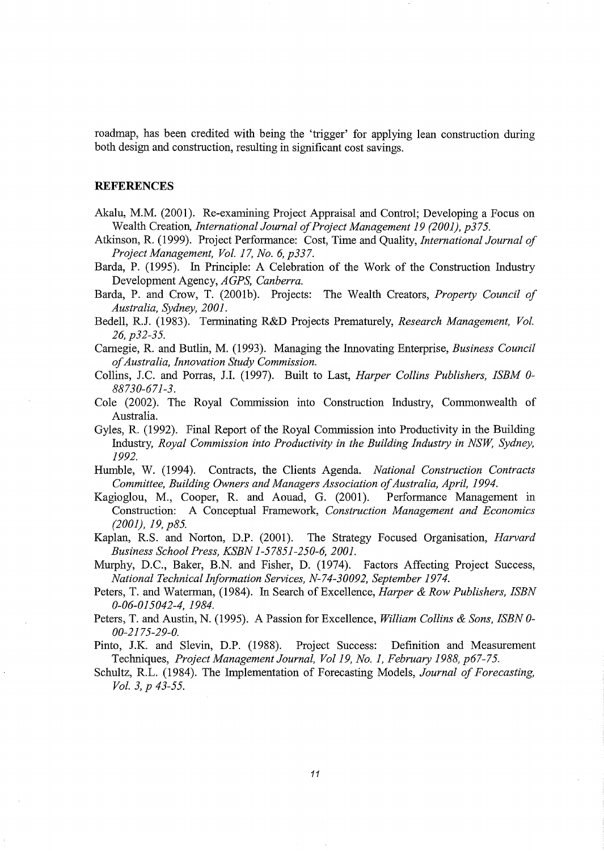roadmap, has been credited with being the 'trigger' for applying lean construction during both design and construction, resulting in significant cost savings.

#### **REFERENCES**

- Akalu, M.M. (2001). Re-examining Project Appraisal and Control; Developing a Focus on Wealth Creation, *International Journal of Project Management 19 (2001), p375.*
- Atkinson, R. (1999). Project Performance: Cost, Time and Quality, *International Journal of Project Management, Vol. 17, No. 6, p337.*
- Barda, P. (1995). In Principle: A Celebration of the Work of the Construction Industry Development Agency, *AGPS, Canberra.*

Barda, P. and Crow, T. (2001b). Projects: The Wealth Creators, *Property Council of Australia, Sydney, 2001.* 

Bedell, R.J. (1983). Terminating R&D Projects Prematurely, *Research Management, Vol. 26, p32-35.* 

Carnegie, R. and Butlin, M. (1993). Managing the Innovating Enterprise, *Business Council of Australia, Innovation Study Commission.* 

- Collins, J.C. and Porras, J.I. (1997). Built to Last, *Harper Collins Publishers, ISBM 0- 88730-671-3.*
- Cole (2002). The Royal Commission into Construction Industry, Commonwealth of Australia.
- Gyles, R. (1992). Final Report of the Royal Commission into Productivity in the Building Industry, *Royal Commission into Productivity in the Building Industry in NSW, Sydney, 1992.*
- Humble, W. (1994). Contracts, the Clients Agenda. *National Construction Contracts Committee, Building Owners and Managers Association of Australia, April, 1994.*
- Kagioglou, M., Cooper, R. and Aouad, G. (2001). Performance Management in Construction: A Conceptual Framework, *Construction Management and Economics (2001), 19, p85.*
- Kaplan, R.S. and Norton, D.P. (2001). The Strategy Focused Organisation, *Harvard Business School Press, KSBN 1-57851-250-6, 2001.*
- Murphy, D.C., Baker, B.N. and Fisher, D. (1974). Factors Affecting Project Success, *National Technical Information Services, N-74-30092, September 1974.*
- Peters, T. and Waterman, (1984). In Search of Excellence, *Harper* & *Row Publishers, ISBN 0-06-015042-4, 1984.*
- Peters, T. and Austin, N. (1995). A Passion for Excellence, *William Collins* & *Sons, ISBN 0- 00-2175-29-0.*
- Pinto, J.K. and Slevin, D.P. (1988). Project Success: Definition and Measurement Techniques, *Project Management Journal, Vol19, No.1, February 1988, p67-75.*
- Schultz, R.L. (1984). The Implementation of Forecasting Models, *Journal of Forecasting, Vol. 3, p 43-55.*